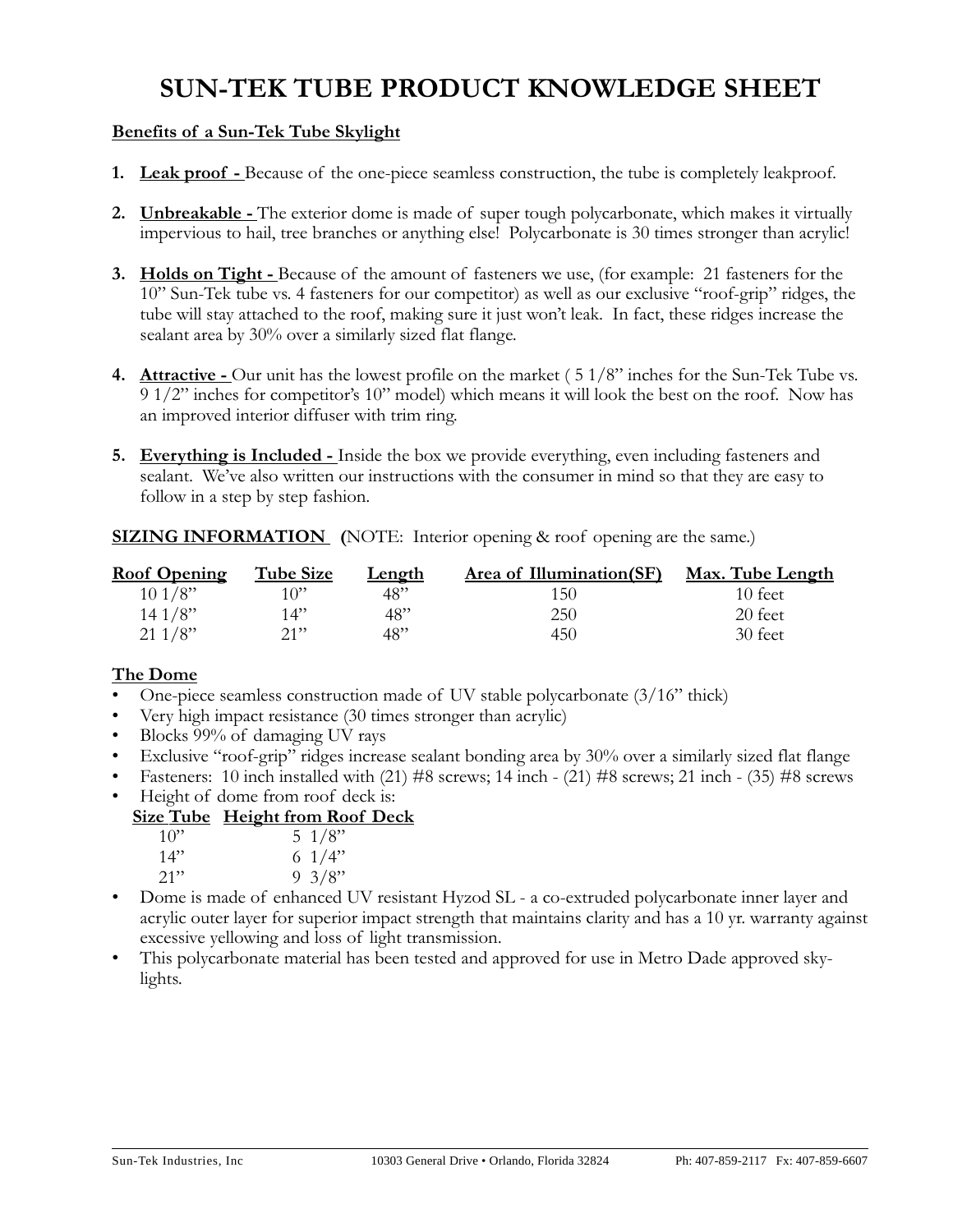# SUN-TEK TUBE PRODUCT KNOWLEDGE SHEET

## Benefits of a Sun-Tek Tube Skylight

- 1. Leak proof Because of the one-piece seamless construction, the tube is completely leakproof.
- 2. Unbreakable The exterior dome is made of super tough polycarbonate, which makes it virtually impervious to hail, tree branches or anything else! Polycarbonate is 30 times stronger than acrylic!
- **3.** Holds on Tight Because of the amount of fasteners we use, (for example: 21 fasteners for the 10" Sun-Tek tube vs. 4 fasteners for our competitor) as well as our exclusive "roof-grip" ridges, the tube will stay attached to the roof, making sure it just won't leak. In fact, these ridges increase the sealant area by 30% over a similarly sized flat flange.
- 4. Attractive Our unit has the lowest profile on the market  $(51/8"$  inches for the Sun-Tek Tube vs. 9 1/2" inches for competitor's 10" model) which means it will look the best on the roof. Now has an improved interior diffuser with trim ring.
- **5.** Everything is Included Inside the box we provide everything, even including fasteners and sealant. We've also written our instructions with the consumer in mind so that they are easy to follow in a step by step fashion.

**SIZING INFORMATION** (NOTE: Interior opening & roof opening are the same.)

| <b>Roof Opening</b> | <b>Tube Size</b> | <b>Length</b> | Area of Illumination(SF) | <u>Max. Tube Length</u> |
|---------------------|------------------|---------------|--------------------------|-------------------------|
| 101/8"              | 1 $\cap$ "       | 48"           | 150                      | 10 feet.                |
| 141/8"              | 14"              | 48"           | 250                      | 20 feet                 |
| 211/8"              | 21               | 48"           | 450                      | 30 feet                 |

## The Dome

- One-piece seamless construction made of UV stable polycarbonate  $(3/16"$  thick)
- Very high impact resistance (30 times stronger than acrylic)
- Blocks 99% of damaging UV rays
- Exclusive "roof-grip" ridges increase sealant bonding area by 30% over a similarly sized flat flange
- Fasteners: 10 inch installed with (21) #8 screws; 14 inch (21) #8 screws; 21 inch (35) #8 screws
- Height of dome from roof deck is:

## Size Tube Height from Roof Deck

| $10$ " | . . | 5 $1/8$ " |
|--------|-----|-----------|
| 14"    |     | 6 $1/4$ " |
| $21$ " |     | 9 $3/8$ " |

- Dome is made of enhanced UV resistant Hyzod SL a co-extruded polycarbonate inner layer and acrylic outer layer for superior impact strength that maintains clarity and has a 10 yr. warranty against excessive yellowing and loss of light transmission.
- This polycarbonate material has been tested and approved for use in Metro Dade approved skylights.